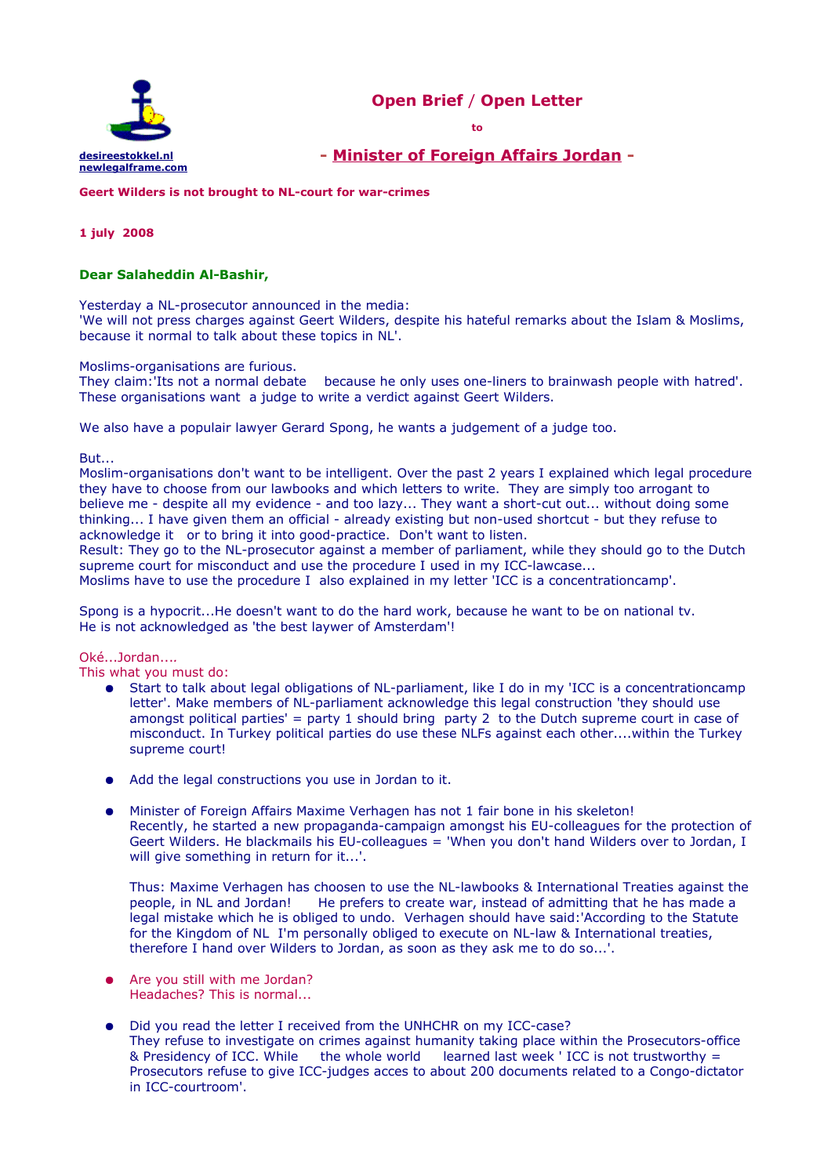



**- [Minister of Foreign Affairs Jordan](http://www.mfa.gov.jo/wps/portal/FMEnglishSite?WCM_GLOBAL_CONTEXT=/wps/wcm/connect/Foreign+Ministry+WS/Home/) -**

**Geert Wilders is not brought to NL-court for war-crimes** 

## **1 july 2008**

# **Dear Salaheddin Al-Bashir,**

Yesterday a NL-prosecutor announced in the media:

'We will not press charges against Geert Wilders, despite his hateful remarks about the Islam & Moslims, because it normal to talk about these topics in NL'.

#### Moslims-organisations are furious.

They claim:'Its not a normal debate because he only uses one-liners to brainwash people with hatred'. These organisations want a judge to write a verdict against Geert Wilders.

We also have a populair lawyer Gerard Spong, he wants a judgement of a judge too.

But...

Moslim-organisations don't want to be intelligent. Over the past 2 years I explained which legal procedure they have to choose from our lawbooks and which letters to write. They are simply too arrogant to believe me - despite all my evidence - and too lazy... They want a short-cut out... without doing some thinking... I have given them an official - already existing but non-used shortcut - but they refuse to acknowledge it or to bring it into good-practice. Don't want to listen.

Result: They go to the NL-prosecutor against a member of parliament, while they should go to the Dutch supreme court for misconduct and use the procedure I used in my ICC-lawcase...

Moslims have to use the procedure I also explained in my letter 'ICC is a concentrationcamp'.

Spong is a hypocrit...He doesn't want to do the hard work, because he want to be on national tv. He is not acknowledged as 'the best laywer of Amsterdam'!

Oké...Jordan...*.*

This what you must do:

- Start to talk about legal obligations of NL-parliament, like I do in my 'ICC is a concentrationcamp letter'. Make members of NL-parliament acknowledge this legal construction 'they should use amongst political parties' = party 1 should bring party 2 to the Dutch supreme court in case of misconduct. In Turkey political parties do use these NLFs against each other....within the Turkey supreme court!
- Add the legal constructions you use in Jordan to it.
- Minister of Foreign Affairs Maxime Verhagen has not 1 fair bone in his skeleton! Recently, he started a new propaganda-campaign amongst his EU-colleagues for the protection of Geert Wilders. He blackmails his EU-colleagues = 'When you don't hand Wilders over to Jordan, I will give something in return for it...'.

Thus: Maxime Verhagen has choosen to use the NL-lawbooks & International Treaties against the people, in NL and Jordan! He prefers to create war, instead of admitting that he has made a legal mistake which he is obliged to undo. Verhagen should have said:'According to the Statute for the Kingdom of NL I'm personally obliged to execute on NL-law & International treaties, therefore I hand over Wilders to Jordan, as soon as they ask me to do so...'.

- Are you still with me Jordan? Headaches? This is normal...
- Did you read the letter I received from the UNHCHR on my ICC-case? They refuse to investigate on crimes against humanity taking place within the Prosecutors-office & Presidency of ICC. While the whole world learned last week 'ICC is not trustworthy  $=$ Prosecutors refuse to give ICC-judges acces to about 200 documents related to a Congo-dictator in ICC-courtroom'.